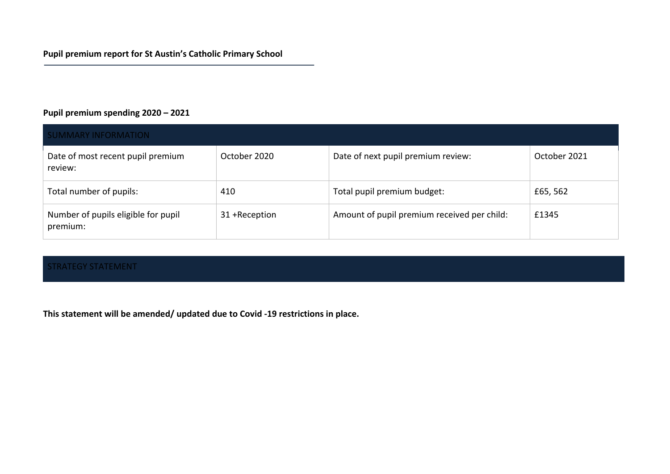### **Pupil premium spending 2020 – 2021**

| <b>SUMMARY INFORMATION</b>                      |                |                                             |              |  |  |  |
|-------------------------------------------------|----------------|---------------------------------------------|--------------|--|--|--|
| Date of most recent pupil premium<br>review:    | October 2020   | Date of next pupil premium review:          | October 2021 |  |  |  |
| Total number of pupils:                         | 410            | Total pupil premium budget:                 | £65,562      |  |  |  |
| Number of pupils eligible for pupil<br>premium: | 31 + Reception | Amount of pupil premium received per child: | £1345        |  |  |  |

#### STRATEGY STATEMENT

**This statement will be amended/ updated due to Covid -19 restrictions in place.**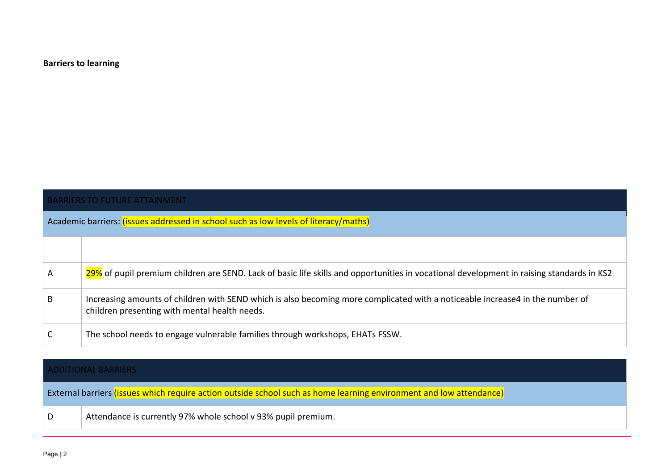#### **Barriers to learning**

|   | <b>BARRIERS TO FUTURE ATTAINMENT</b>                                                                                                                                           |  |  |  |  |  |
|---|--------------------------------------------------------------------------------------------------------------------------------------------------------------------------------|--|--|--|--|--|
|   | Academic barriers: (issues addressed in school such as low levels of literacy/maths)                                                                                           |  |  |  |  |  |
|   |                                                                                                                                                                                |  |  |  |  |  |
| A | 29% of pupil premium children are SEND. Lack of basic life skills and opportunities in vocational development in raising standards in KS2                                      |  |  |  |  |  |
| B | Increasing amounts of children with SEND which is also becoming more complicated with a noticeable increase4 in the number of<br>children presenting with mental health needs. |  |  |  |  |  |
|   | The school needs to engage vulnerable families through workshops, EHATs FSSW.                                                                                                  |  |  |  |  |  |

|   | <b>ADDITIONAL BARRIERS</b>                                                                                          |  |  |  |  |  |
|---|---------------------------------------------------------------------------------------------------------------------|--|--|--|--|--|
|   | External barriers (issues which require action outside school such as home learning environment and low attendance) |  |  |  |  |  |
| D | Attendance is currently 97% whole school v 93% pupil premium.                                                       |  |  |  |  |  |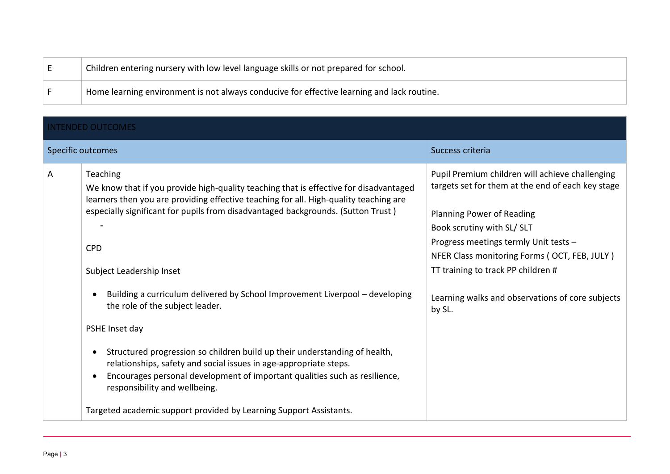| - | Children entering nursery with low level language skills or not prepared for school.       |
|---|--------------------------------------------------------------------------------------------|
|   | Home learning environment is not always conducive for effective learning and lack routine. |

| <b>INTENDED OUTCOMES</b> |  |  |
|--------------------------|--|--|
|                          |  |  |

|   | Specific outcomes                                                                                                                                                                                                                                                                                                                                                                                                                                                                                                                                                                                                                                                                                                                                                                                                         | Success criteria                                                                                                                                                                                                                                                                                                                                             |
|---|---------------------------------------------------------------------------------------------------------------------------------------------------------------------------------------------------------------------------------------------------------------------------------------------------------------------------------------------------------------------------------------------------------------------------------------------------------------------------------------------------------------------------------------------------------------------------------------------------------------------------------------------------------------------------------------------------------------------------------------------------------------------------------------------------------------------------|--------------------------------------------------------------------------------------------------------------------------------------------------------------------------------------------------------------------------------------------------------------------------------------------------------------------------------------------------------------|
| A | <b>Teaching</b><br>We know that if you provide high-quality teaching that is effective for disadvantaged<br>learners then you are providing effective teaching for all. High-quality teaching are<br>especially significant for pupils from disadvantaged backgrounds. (Sutton Trust)<br><b>CPD</b><br>Subject Leadership Inset<br>Building a curriculum delivered by School Improvement Liverpool - developing<br>the role of the subject leader.<br>PSHE Inset day<br>Structured progression so children build up their understanding of health,<br>relationships, safety and social issues in age-appropriate steps.<br>Encourages personal development of important qualities such as resilience,<br>$\bullet$<br>responsibility and wellbeing.<br>Targeted academic support provided by Learning Support Assistants. | Pupil Premium children will achieve challenging<br>targets set for them at the end of each key stage<br>Planning Power of Reading<br>Book scrutiny with SL/ SLT<br>Progress meetings termly Unit tests -<br>NFER Class monitoring Forms (OCT, FEB, JULY)<br>TT training to track PP children #<br>Learning walks and observations of core subjects<br>by SL. |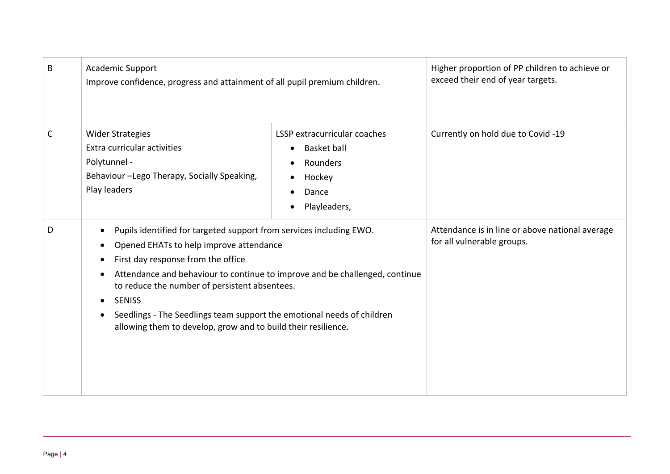| B            | <b>Academic Support</b><br>Improve confidence, progress and attainment of all pupil premium children.                                                                                                                                                                                                                                                                                                                                                                                                                          |                                                                                                   | Higher proportion of PP children to achieve or<br>exceed their end of year targets. |
|--------------|--------------------------------------------------------------------------------------------------------------------------------------------------------------------------------------------------------------------------------------------------------------------------------------------------------------------------------------------------------------------------------------------------------------------------------------------------------------------------------------------------------------------------------|---------------------------------------------------------------------------------------------------|-------------------------------------------------------------------------------------|
| $\mathsf{C}$ | <b>Wider Strategies</b><br>Extra curricular activities<br>Polytunnel -<br>Behaviour -Lego Therapy, Socially Speaking,<br>Play leaders                                                                                                                                                                                                                                                                                                                                                                                          | LSSP extracurricular coaches<br><b>Basket ball</b><br>Rounders<br>Hockey<br>Dance<br>Playleaders, | Currently on hold due to Covid -19                                                  |
| D            | Pupils identified for targeted support from services including EWO.<br>$\bullet$<br>Opened EHATs to help improve attendance<br>$\bullet$<br>First day response from the office<br>$\bullet$<br>Attendance and behaviour to continue to improve and be challenged, continue<br>$\bullet$<br>to reduce the number of persistent absentees.<br><b>SENISS</b><br>$\bullet$<br>Seedlings - The Seedlings team support the emotional needs of children<br>$\bullet$<br>allowing them to develop, grow and to build their resilience. |                                                                                                   | Attendance is in line or above national average<br>for all vulnerable groups.       |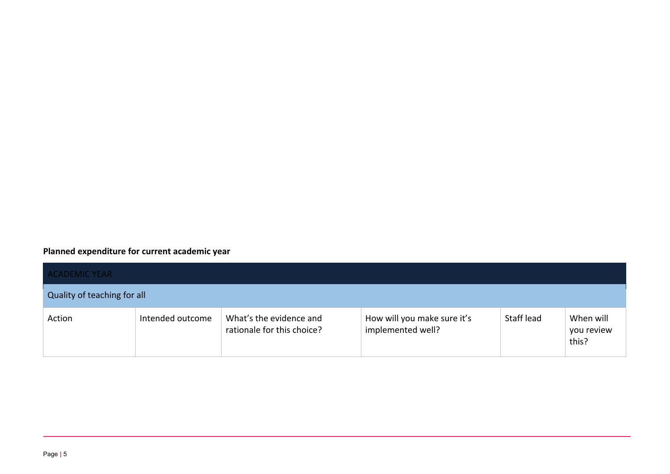# **Planned expenditure for current academic year**

| <b>ACADEMIC YEAR</b>        |                  |                                                       |                                                  |            |                                  |  |
|-----------------------------|------------------|-------------------------------------------------------|--------------------------------------------------|------------|----------------------------------|--|
| Quality of teaching for all |                  |                                                       |                                                  |            |                                  |  |
| Action                      | Intended outcome | What's the evidence and<br>rationale for this choice? | How will you make sure it's<br>implemented well? | Staff lead | When will<br>you review<br>this? |  |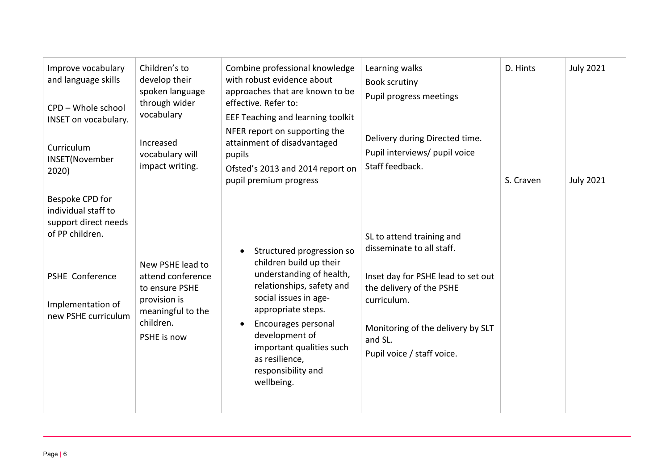| Improve vocabulary<br>and language skills<br>CPD - Whole school<br>INSET on vocabulary.<br>Curriculum<br><b>INSET(November</b><br>2020)                 | Children's to<br>develop their<br>spoken language<br>through wider<br>vocabulary<br>Increased<br>vocabulary will<br>impact writing. | Combine professional knowledge<br>with robust evidence about<br>approaches that are known to be<br>effective. Refer to:<br>EEF Teaching and learning toolkit<br>NFER report on supporting the<br>attainment of disadvantaged<br>pupils<br>Ofsted's 2013 and 2014 report on<br>pupil premium progress | Learning walks<br><b>Book scrutiny</b><br>Pupil progress meetings<br>Delivery during Directed time.<br>Pupil interviews/ pupil voice<br>Staff feedback.                                                               | D. Hints<br>S. Craven | <b>July 2021</b><br><b>July 2021</b> |
|---------------------------------------------------------------------------------------------------------------------------------------------------------|-------------------------------------------------------------------------------------------------------------------------------------|------------------------------------------------------------------------------------------------------------------------------------------------------------------------------------------------------------------------------------------------------------------------------------------------------|-----------------------------------------------------------------------------------------------------------------------------------------------------------------------------------------------------------------------|-----------------------|--------------------------------------|
| Bespoke CPD for<br>individual staff to<br>support direct needs<br>of PP children.<br><b>PSHE Conference</b><br>Implementation of<br>new PSHE curriculum | New PSHE lead to<br>attend conference<br>to ensure PSHE<br>provision is<br>meaningful to the<br>children.<br>PSHE is now            | Structured progression so<br>$\bullet$<br>children build up their<br>understanding of health,<br>relationships, safety and<br>social issues in age-<br>appropriate steps.<br>Encourages personal<br>development of<br>important qualities such<br>as resilience,<br>responsibility and<br>wellbeing. | SL to attend training and<br>disseminate to all staff.<br>Inset day for PSHE lead to set out<br>the delivery of the PSHE<br>curriculum.<br>Monitoring of the delivery by SLT<br>and SL.<br>Pupil voice / staff voice. |                       |                                      |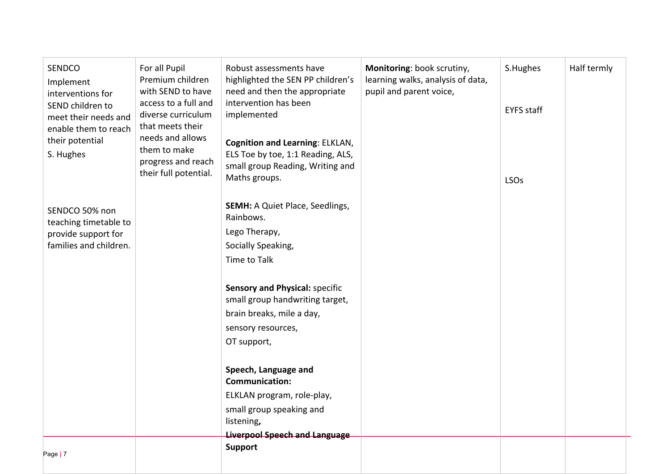| <b>SENDCO</b><br>Implement<br>interventions for<br>SEND children to<br>meet their needs and<br>enable them to reach<br>their potential<br>S. Hughes | For all Pupil<br>Premium children<br>with SEND to have<br>access to a full and<br>diverse curriculum<br>that meets their<br>needs and allows<br>them to make<br>progress and reach<br>their full potential. | Robust assessments have<br>highlighted the SEN PP children's<br>need and then the appropriate<br>intervention has been<br>implemented<br><b>Cognition and Learning: ELKLAN,</b><br>ELS Toe by toe, 1:1 Reading, ALS,<br>small group Reading, Writing and                                          | Monitoring: book scrutiny,<br>learning walks, analysis of data,<br>pupil and parent voice, | S.Hughes<br><b>EYFS</b> staff | Half termly |
|-----------------------------------------------------------------------------------------------------------------------------------------------------|-------------------------------------------------------------------------------------------------------------------------------------------------------------------------------------------------------------|---------------------------------------------------------------------------------------------------------------------------------------------------------------------------------------------------------------------------------------------------------------------------------------------------|--------------------------------------------------------------------------------------------|-------------------------------|-------------|
| SENDCO 50% non<br>teaching timetable to<br>provide support for<br>families and children.                                                            |                                                                                                                                                                                                             | Maths groups.<br><b>SEMH: A Quiet Place, Seedlings,</b><br>Rainbows.<br>Lego Therapy,<br>Socially Speaking,<br>Time to Talk<br><b>Sensory and Physical: specific</b><br>small group handwriting target,<br>brain breaks, mile a day,<br>sensory resources,<br>OT support,<br>Speech, Language and |                                                                                            | <b>LSOs</b>                   |             |
|                                                                                                                                                     |                                                                                                                                                                                                             | <b>Communication:</b><br>ELKLAN program, role-play,<br>small group speaking and<br>listening,                                                                                                                                                                                                     |                                                                                            |                               |             |
| Page   7                                                                                                                                            |                                                                                                                                                                                                             | <b>Liverpool Speech and Language</b><br><b>Support</b>                                                                                                                                                                                                                                            |                                                                                            |                               |             |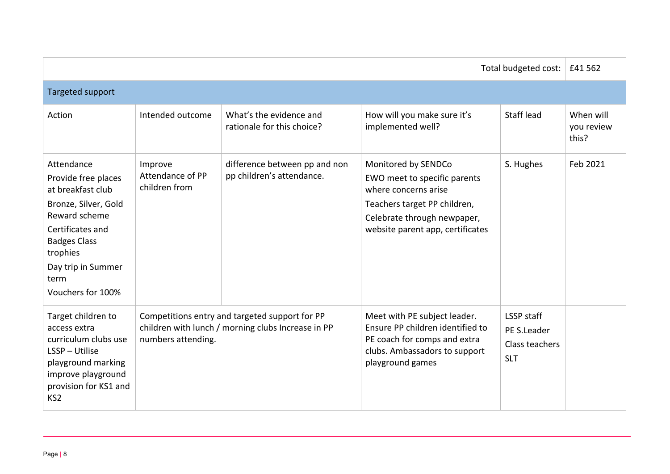| Total budgeted cost:                                                                                                                                                                                      |                                              |                                                                                                      |                                                                                                                                                                                | £41 562                                                          |                                  |
|-----------------------------------------------------------------------------------------------------------------------------------------------------------------------------------------------------------|----------------------------------------------|------------------------------------------------------------------------------------------------------|--------------------------------------------------------------------------------------------------------------------------------------------------------------------------------|------------------------------------------------------------------|----------------------------------|
| Targeted support                                                                                                                                                                                          |                                              |                                                                                                      |                                                                                                                                                                                |                                                                  |                                  |
| Action                                                                                                                                                                                                    | Intended outcome                             | What's the evidence and<br>rationale for this choice?                                                | How will you make sure it's<br>implemented well?                                                                                                                               | <b>Staff lead</b>                                                | When will<br>you review<br>this? |
| Attendance<br>Provide free places<br>at breakfast club<br>Bronze, Silver, Gold<br>Reward scheme<br>Certificates and<br><b>Badges Class</b><br>trophies<br>Day trip in Summer<br>term<br>Vouchers for 100% | Improve<br>Attendance of PP<br>children from | difference between pp and non<br>pp children's attendance.                                           | Monitored by SENDCo<br>EWO meet to specific parents<br>where concerns arise<br>Teachers target PP children,<br>Celebrate through newpaper,<br>website parent app, certificates | S. Hughes                                                        | Feb 2021                         |
| Target children to<br>access extra<br>curriculum clubs use<br>LSSP - Utilise<br>playground marking<br>improve playground<br>provision for KS1 and<br>KS <sub>2</sub>                                      | numbers attending.                           | Competitions entry and targeted support for PP<br>children with lunch / morning clubs Increase in PP | Meet with PE subject leader.<br>Ensure PP children identified to<br>PE coach for comps and extra<br>clubs. Ambassadors to support<br>playground games                          | <b>LSSP</b> staff<br>PE S.Leader<br>Class teachers<br><b>SLT</b> |                                  |